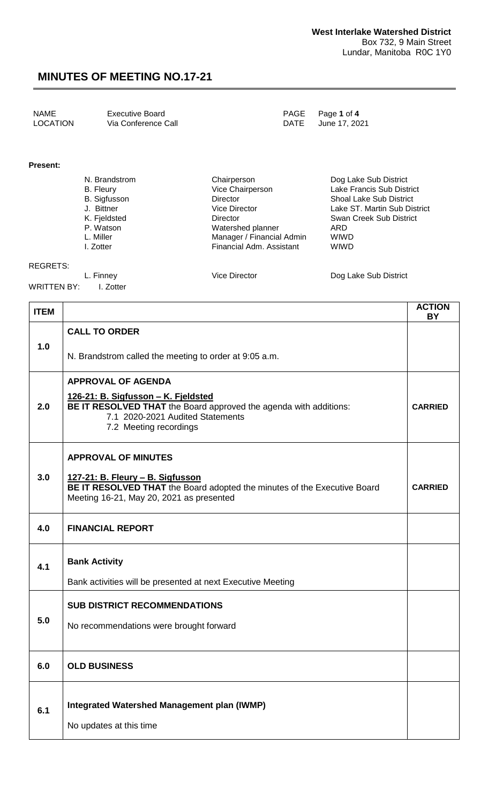| <b>NAME</b>     | Executive Board     | PAGE Page 1 of 4   |
|-----------------|---------------------|--------------------|
| <b>LOCATION</b> | Via Conference Call | DATE June 17, 2021 |

#### **Present:**

| N. Brandstrom       | Chairperson               | Dog Lake Sub District          |
|---------------------|---------------------------|--------------------------------|
| <b>B.</b> Fleury    | Vice Chairperson          | Lake Francis Sub District      |
| <b>B.</b> Sigfusson | Director                  | <b>Shoal Lake Sub District</b> |
| J. Bittner          | <b>Vice Director</b>      | Lake ST. Martin Sub District   |
| K. Fjeldsted        | Director                  | Swan Creek Sub District        |
| P. Watson           | Watershed planner         | ARD                            |
| L. Miller           | Manager / Financial Admin | <b>WIWD</b>                    |
| I. Zotter           | Financial Adm. Assistant  | <b>WIWD</b>                    |

#### REGRETS:

WRITTEN BY: I. Zotter

L. Finney **Communist Communist Communist Communist Communist Communist Communist Communist Communist Communist Communist Communist Communist Communist Communist Communist Communist Communist Communist Communist Communist C** 

| <b>ITEM</b> |                                                                                                                                                                                                             | <b>ACTION</b><br><b>BY</b> |
|-------------|-------------------------------------------------------------------------------------------------------------------------------------------------------------------------------------------------------------|----------------------------|
|             | <b>CALL TO ORDER</b>                                                                                                                                                                                        |                            |
| 1.0         | N. Brandstrom called the meeting to order at 9:05 a.m.                                                                                                                                                      |                            |
| 2.0         | <b>APPROVAL OF AGENDA</b><br><u> 126-21: B. Sigfusson – K. Fjeldsted</u><br>BE IT RESOLVED THAT the Board approved the agenda with additions:<br>7.1 2020-2021 Audited Statements<br>7.2 Meeting recordings | <b>CARRIED</b>             |
|             | <b>APPROVAL OF MINUTES</b>                                                                                                                                                                                  |                            |
| 3.0         | 127-21: B. Fleury - B. Sigfusson<br>BE IT RESOLVED THAT the Board adopted the minutes of the Executive Board<br>Meeting 16-21, May 20, 2021 as presented                                                    | <b>CARRIED</b>             |
| 4.0         | <b>FINANCIAL REPORT</b>                                                                                                                                                                                     |                            |
| 4.1         | <b>Bank Activity</b>                                                                                                                                                                                        |                            |
|             | Bank activities will be presented at next Executive Meeting                                                                                                                                                 |                            |
|             | <b>SUB DISTRICT RECOMMENDATIONS</b>                                                                                                                                                                         |                            |
| 5.0         | No recommendations were brought forward                                                                                                                                                                     |                            |
|             |                                                                                                                                                                                                             |                            |
| 6.0         | <b>OLD BUSINESS</b>                                                                                                                                                                                         |                            |
| 6.1         | <b>Integrated Watershed Management plan (IWMP)</b>                                                                                                                                                          |                            |
|             | No updates at this time                                                                                                                                                                                     |                            |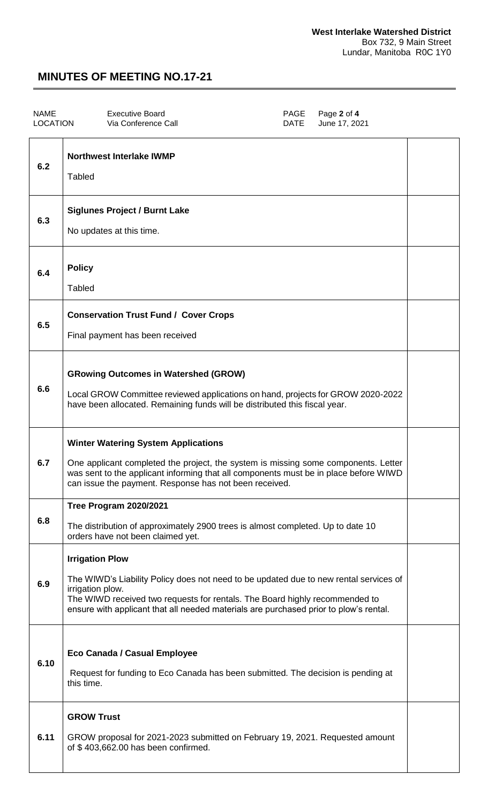| <b>NAME</b><br><b>LOCATION</b> | <b>Executive Board</b><br>Via Conference Call | PAGE<br>Page 2 of 4<br>June 17, 2021<br><b>DATE</b> |  |
|--------------------------------|-----------------------------------------------|-----------------------------------------------------|--|
|                                |                                               |                                                     |  |

| 6.2  | <b>Northwest Interlake IWMP</b><br><b>Tabled</b>                                                                                                                                                                                                                                                            |  |
|------|-------------------------------------------------------------------------------------------------------------------------------------------------------------------------------------------------------------------------------------------------------------------------------------------------------------|--|
| 6.3  | <b>Siglunes Project / Burnt Lake</b><br>No updates at this time.                                                                                                                                                                                                                                            |  |
| 6.4  | <b>Policy</b><br><b>Tabled</b>                                                                                                                                                                                                                                                                              |  |
| 6.5  | <b>Conservation Trust Fund / Cover Crops</b><br>Final payment has been received                                                                                                                                                                                                                             |  |
| 6.6  | <b>GRowing Outcomes in Watershed (GROW)</b><br>Local GROW Committee reviewed applications on hand, projects for GROW 2020-2022<br>have been allocated. Remaining funds will be distributed this fiscal year.                                                                                                |  |
| 6.7  | <b>Winter Watering System Applications</b><br>One applicant completed the project, the system is missing some components. Letter<br>was sent to the applicant informing that all components must be in place before WIWD<br>can issue the payment. Response has not been received.                          |  |
| 6.8  | <b>Tree Program 2020/2021</b><br>The distribution of approximately 2900 trees is almost completed. Up to date 10<br>orders have not been claimed yet.                                                                                                                                                       |  |
| 6.9  | <b>Irrigation Plow</b><br>The WIWD's Liability Policy does not need to be updated due to new rental services of<br>irrigation plow.<br>The WIWD received two requests for rentals. The Board highly recommended to<br>ensure with applicant that all needed materials are purchased prior to plow's rental. |  |
| 6.10 | Eco Canada / Casual Employee<br>Request for funding to Eco Canada has been submitted. The decision is pending at<br>this time.                                                                                                                                                                              |  |
| 6.11 | <b>GROW Trust</b><br>GROW proposal for 2021-2023 submitted on February 19, 2021. Requested amount<br>of \$403,662.00 has been confirmed.                                                                                                                                                                    |  |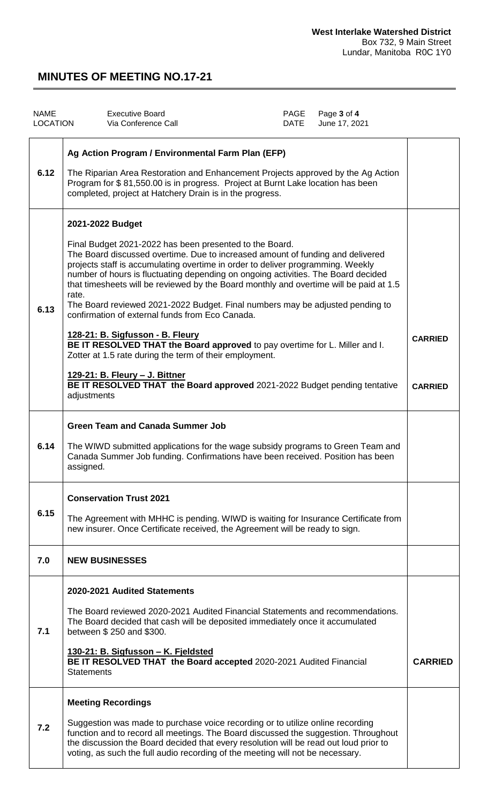| <b>NAME</b><br><b>LOCATION</b> | <b>Executive Board</b><br>Via Conference Call                                                                                                                                                                                                                                                                                                                                                                                                                                                                                                                                                                                                                                                                                                                                                                                                                                     | PAGE<br>DATE | Page 3 of 4<br>June 17, 2021 |                                  |
|--------------------------------|-----------------------------------------------------------------------------------------------------------------------------------------------------------------------------------------------------------------------------------------------------------------------------------------------------------------------------------------------------------------------------------------------------------------------------------------------------------------------------------------------------------------------------------------------------------------------------------------------------------------------------------------------------------------------------------------------------------------------------------------------------------------------------------------------------------------------------------------------------------------------------------|--------------|------------------------------|----------------------------------|
| 6.12                           | Ag Action Program / Environmental Farm Plan (EFP)<br>The Riparian Area Restoration and Enhancement Projects approved by the Ag Action<br>Program for \$81,550.00 is in progress. Project at Burnt Lake location has been<br>completed, project at Hatchery Drain is in the progress.                                                                                                                                                                                                                                                                                                                                                                                                                                                                                                                                                                                              |              |                              |                                  |
| 6.13                           | 2021-2022 Budget<br>Final Budget 2021-2022 has been presented to the Board.<br>The Board discussed overtime. Due to increased amount of funding and delivered<br>projects staff is accumulating overtime in order to deliver programming. Weekly<br>number of hours is fluctuating depending on ongoing activities. The Board decided<br>that timesheets will be reviewed by the Board monthly and overtime will be paid at 1.5<br>rate.<br>The Board reviewed 2021-2022 Budget. Final numbers may be adjusted pending to<br>confirmation of external funds from Eco Canada.<br>128-21: B. Sigfusson - B. Fleury<br>BE IT RESOLVED THAT the Board approved to pay overtime for L. Miller and I.<br>Zotter at 1.5 rate during the term of their employment.<br><u> 129-21: B. Fleury - J. Bittner</u><br>BE IT RESOLVED THAT the Board approved 2021-2022 Budget pending tentative |              |                              | <b>CARRIED</b><br><b>CARRIED</b> |
| 6.14                           | adjustments<br><b>Green Team and Canada Summer Job</b><br>The WIWD submitted applications for the wage subsidy programs to Green Team and<br>Canada Summer Job funding. Confirmations have been received. Position has been<br>assigned.                                                                                                                                                                                                                                                                                                                                                                                                                                                                                                                                                                                                                                          |              |                              |                                  |
| 6.15                           | <b>Conservation Trust 2021</b><br>The Agreement with MHHC is pending. WIWD is waiting for Insurance Certificate from<br>new insurer. Once Certificate received, the Agreement will be ready to sign.                                                                                                                                                                                                                                                                                                                                                                                                                                                                                                                                                                                                                                                                              |              |                              |                                  |
| 7.0                            | <b>NEW BUSINESSES</b>                                                                                                                                                                                                                                                                                                                                                                                                                                                                                                                                                                                                                                                                                                                                                                                                                                                             |              |                              |                                  |
| 7.1                            | 2020-2021 Audited Statements<br>The Board reviewed 2020-2021 Audited Financial Statements and recommendations.<br>The Board decided that cash will be deposited immediately once it accumulated<br>between \$250 and \$300.<br>130-21: B. Sigfusson - K. Fjeldsted<br>BE IT RESOLVED THAT the Board accepted 2020-2021 Audited Financial<br><b>Statements</b>                                                                                                                                                                                                                                                                                                                                                                                                                                                                                                                     |              |                              | <b>CARRIED</b>                   |
| 7.2                            | <b>Meeting Recordings</b><br>Suggestion was made to purchase voice recording or to utilize online recording<br>function and to record all meetings. The Board discussed the suggestion. Throughout<br>the discussion the Board decided that every resolution will be read out loud prior to<br>voting, as such the full audio recording of the meeting will not be necessary.                                                                                                                                                                                                                                                                                                                                                                                                                                                                                                     |              |                              |                                  |